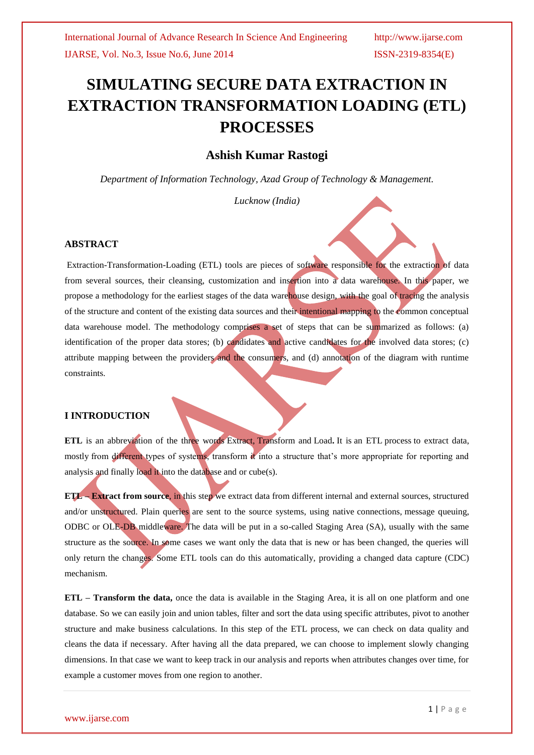# **SIMULATING SECURE DATA EXTRACTION IN EXTRACTION TRANSFORMATION LOADING (ETL) PROCESSES**

## **Ashish Kumar Rastogi**

*Department of Information Technology, Azad Group of Technology & Management.*

*Lucknow (India)*

### **ABSTRACT**

Extraction-Transformation-Loading (ETL) tools are pieces of software responsible for the extraction of data from several sources, their cleansing, customization and insertion into a data warehouse. In this paper, we propose a methodology for the earliest stages of the data warehouse design, with the goal of tracing the analysis of the structure and content of the existing data sources and their intentional mapping to the common conceptual data warehouse model. The methodology comprises a set of steps that can be summarized as follows: (a) identification of the proper data stores; (b) candidates and active candidates for the involved data stores; (c) attribute mapping between the providers and the consumers, and (d) annotation of the diagram with runtime constraints.

### **I INTRODUCTION**

**ETL** is an abbreviation of the three words Extract, Transform and Load**.** It is an ETL process to extract data, mostly from different types of systems, transform it into a structure that's more appropriate for reporting and analysis and finally load it into the database and or cube(s).

**ETL – Extract from source**, in this step we extract data from different internal and external sources, structured and/or unstructured. Plain queries are sent to the source systems, using native connections, message queuing, ODBC or OLE-DB middleware. The data will be put in a so-called Staging Area (SA), usually with the same structure as the source. In some cases we want only the data that is new or has been changed, the queries will only return the changes. Some ETL tools can do this automatically, providing a changed data capture (CDC) mechanism.

**ETL – Transform the data,** once the data is available in the Staging Area, it is all on one platform and one database. So we can easily join and union tables, filter and sort the data using specific attributes, pivot to another structure and make business calculations. In this step of the ETL process, we can check on data quality and cleans the data if necessary. After having all the data prepared, we can choose to implement slowly changing dimensions. In that case we want to keep track in our analysis and reports when attributes changes over time, for example a customer moves from one region to another.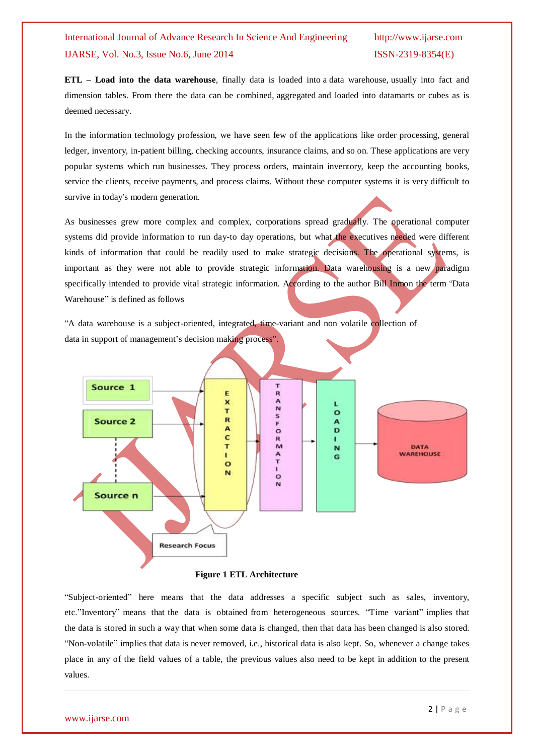**ETL – Load into the data warehouse**, finally data is loaded into a [data warehouse,](http://www.passionned.com/data-integration/data-warehouse/) usually into fact and dimension tables. From there the data can be combined, aggregated and loaded into datamarts or cubes as is deemed necessary.

In the information technology profession, we have seen few of the applications like order processing, general ledger, inventory, in-patient billing, checking accounts, insurance claims, and so on. These applications are very popular systems which run businesses. They process orders, maintain inventory, keep the accounting books, service the clients, receive payments, and process claims. Without these computer systems it is very difficult to survive in today's modern generation.

As businesses grew more complex and complex, corporations spread gradually. The operational computer systems did provide information to run day-to day operations, but what the executives needed were different kinds of information that could be readily used to make strategic decisions. The operational systems, is important as they were not able to provide strategic information. Data warehousing is a new paradigm specifically intended to provide vital strategic information. According to the author Bill Inmon the term "Data Warehouse" is defined as follows

"A data warehouse is a subject-oriented, integrated, time-variant and non volatile collection of data in support of management's decision making process"



### **Figure 1 ETL Architecture**

"Subject-oriented" here means that the data addresses a specific subject such as sales, inventory, etc."Inventory" means that the data is obtained from heterogeneous sources. "Time variant" implies that the data is stored in such a way that when some data is changed, then that data has been changed is also stored. "Non-volatile" implies that data is never removed, i.e., historical data is also kept. So, whenever a change takes place in any of the field values of a table, the previous values also need to be kept in addition to the present values.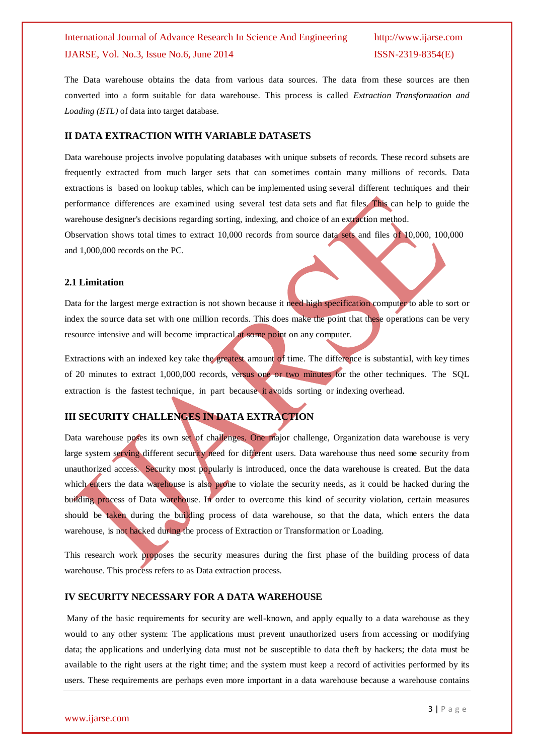The Data warehouse obtains the data from various data sources. The data from these sources are then converted into a form suitable for data warehouse. This process is called *Extraction Transformation and Loading (ETL)* of data into target database.

### **II DATA EXTRACTION WITH VARIABLE DATASETS**

Data warehouse projects involve populating databases with unique subsets of records. These record subsets are frequently extracted from much larger sets that can sometimes contain many millions of records. Data extractions is based on lookup tables, which can be implemented using several different techniques and their performance differences are examined using several test data sets and flat files. This can help to guide the warehouse designer's decisions regarding sorting, indexing, and choice of an extraction method.

Observation shows total times to extract 10,000 records from source data sets and files of 10,000, 100,000 and 1,000,000 records on the PC.

### **2.1 Limitation**

Data for the largest merge extraction is not shown because it need high specification computer to able to sort or index the source data set with one million records. This does make the point that these operations can be very resource intensive and will become impractical at some point on any computer.

Extractions with an indexed key take the greatest amount of time. The difference is substantial, with key times of 20 minutes to extract 1,000,000 records, versus one or two minutes for the other techniques. The SQL extraction is the fastest technique, in part because it avoids sorting or indexing overhead.

### **III SECURITY CHALLENGES IN DATA EXTRACTION**

Data warehouse poses its own set of challenges. One major challenge, Organization data warehouse is very large system serving different security need for different users. Data warehouse thus need some security from unauthorized access. Security most popularly is introduced, once the data warehouse is created. But the data which enters the data warehouse is also prone to violate the security needs, as it could be hacked during the building process of Data warehouse. In order to overcome this kind of security violation, certain measures should be taken during the building process of data warehouse, so that the data, which enters the data warehouse, is not hacked during the process of Extraction or Transformation or Loading.

This research work proposes the security measures during the first phase of the building process of data warehouse. This process refers to as Data extraction process.

### **IV SECURITY NECESSARY FOR A DATA WAREHOUSE**

Many of the basic requirements for security are well-known, and apply equally to a data warehouse as they would to any other system: The applications must prevent unauthorized users from accessing or modifying data; the applications and underlying data must not be susceptible to data theft by hackers; the data must be available to the right users at the right time; and the system must keep a record of activities performed by its users. These requirements are perhaps even more important in a data warehouse because a warehouse contains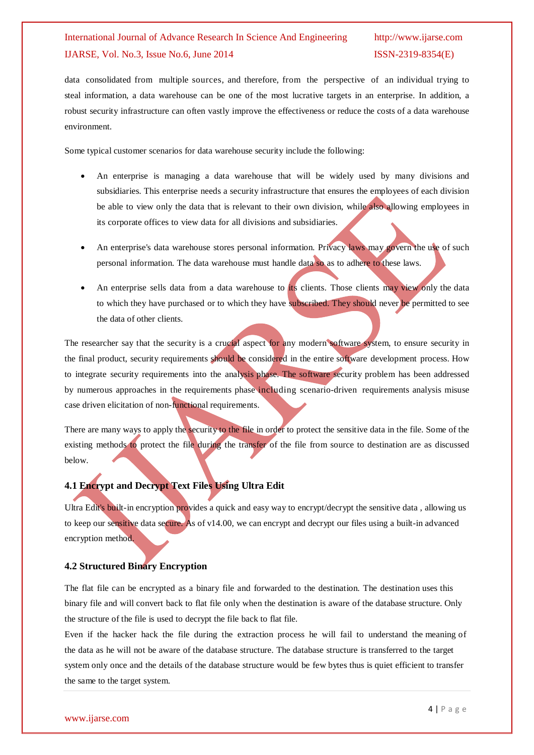data consolidated from multiple sources, and therefore, from the perspective of an individual trying to steal information, a data warehouse can be one of the most lucrative targets in an enterprise. In addition, a robust security infrastructure can often vastly improve the effectiveness or reduce the costs of a data warehouse environment.

Some typical customer scenarios for data warehouse security include the following:

- An enterprise is managing a data warehouse that will be widely used by many divisions and subsidiaries. This enterprise needs a security infrastructure that ensures the employees of each division be able to view only the data that is relevant to their own division, while also allowing employees in its corporate offices to view data for all divisions and subsidiaries.
- An enterprise's data warehouse stores personal information. Privacy laws may govern the use of such personal information. The data warehouse must handle data so as to adhere to these laws.
- An enterprise sells data from a data warehouse to its clients. Those clients may view only the data to which they have purchased or to which they have subscribed. They should never be permitted to see the data of other clients.

The researcher say that the security is a crucial aspect for any modern software system, to ensure security in the final product, security requirements should be considered in the entire software development process. How to integrate security requirements into the analysis phase. The software security problem has been addressed by numerous approaches in the requirements phase including scenario-driven requirements analysis misuse case driven elicitation of non-functional requirements.

There are many ways to apply the security to the file in order to protect the sensitive data in the file. Some of the existing methods to protect the file during the transfer of the file from source to destination are as discussed below.

### **4.1 Encrypt and Decrypt Text Files Using Ultra Edit**

Ultra Edit's built-in encryption provides a quick and easy way to encrypt/decrypt the sensitive data , allowing us to keep our sensitive data secure. As of v14.00, we can encrypt and decrypt our files using a built-in advanced encryption method.

### **4.2 Structured Binary Encryption**

The flat file can be encrypted as a binary file and forwarded to the destination. The destination uses this binary file and will convert back to flat file only when the destination is aware of the database structure. Only the structure of the file is used to decrypt the file back to flat file.

Even if the hacker hack the file during the extraction process he will fail to understand the meaning of the data as he will not be aware of the database structure. The database structure is transferred to the target system only once and the details of the database structure would be few bytes thus is quiet efficient to transfer the same to the target system.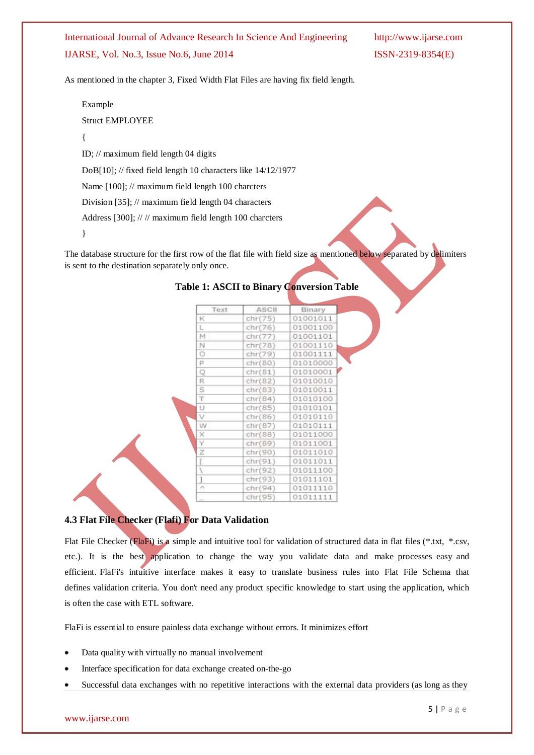As mentioned in the chapter 3, Fixed Width Flat Files are having fix field length.

Example Struct EMPLOYEE { ID; // maximum field length 04 digits DoB[10]; // fixed field length 10 characters like 14/12/1977 Name [100]; // maximum field length 100 charcters Division [35]; // maximum field length 04 characters

Address [300]; // // maximum field length 100 charcters

}

The database structure for the first row of the flat file with field size as mentioned below separated by delimiters is sent to the destination separately only once.

| Text          | ASCII   | Binary.  |
|---------------|---------|----------|
| к             | chr(75) | 01001011 |
| Ľ             | chr(76) | 01001100 |
| M             | chr(77) | 01001101 |
| N             | chr(78) | 01001110 |
| Ö             | chr(79) | 01001111 |
| P             | chr(80) | 01010000 |
| Q             | chr(81) | 01010001 |
| R             | chr(82) | 01010010 |
| s             | chr(83) | 01010011 |
| T.            | chr(84) | 01010100 |
| U             | chr(85) | 01010101 |
| v             | chr(86) | 01010110 |
| W             | chr(87) | 01010111 |
| ×             | chr(88) | 01011000 |
| ٧             | chr(89) | 01011001 |
| Ž             | chr(90) | 01011010 |
| Ľ             | chr(91) | 01011011 |
|               | chr(92) | 01011100 |
| 1             | chr(93) | 01011101 |
| $\mathcal{N}$ | chr(94) | 01011110 |
|               | chr(95) | 01011111 |
|               |         |          |

### **Table 1: ASCII to Binary ConversionTable**

### **4.3 Flat File Checker (Flafi) For Data Validation**

Flat File Checker (FlaFi) is a simple and intuitive tool for validation of structured data in flat files (\*.txt, \*.csv, etc.). It is the best application to change the way you validate data and make processes easy and efficient. FlaFi's intuitive interface makes it easy to translate business rules into Flat File Schema that defines validation criteria. You don't need any product specific knowledge to start using the application, which is often the case with ETL software.

FlaFi is essential to ensure painless data exchange without errors. It minimizes effort

- Data quality with virtually no manual involvement
- Interface specification for data exchange created on-the-go
- Successful data exchanges with no repetitive interactions with the external data providers (as long as they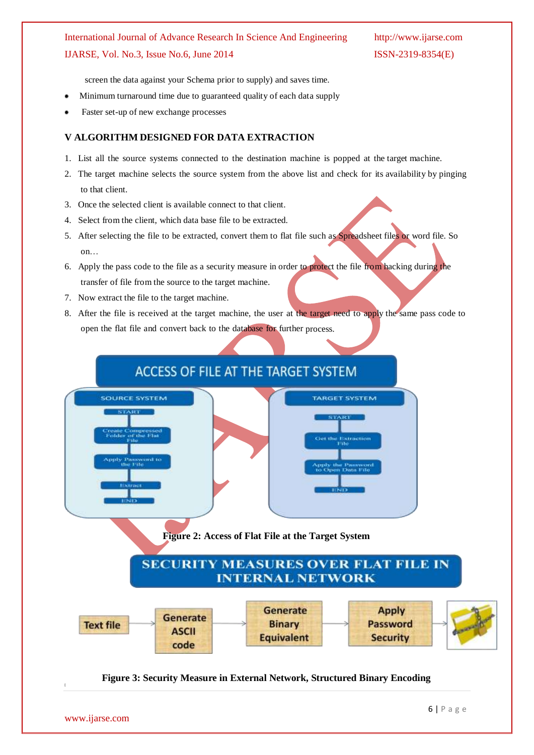screen the data against your Schema prior to supply) and saves time.

- Minimum turnaround time due to guaranteed quality of each data supply
- Faster set-up of new exchange processes

### **V ALGORITHM DESIGNED FOR DATA EXTRACTION**

- 1. List all the source systems connected to the destination machine is popped at the target machine.
- 2. The target machine selects the source system from the above list and check for its availability by pinging to that client.
- 3. Once the selected client is available connect to that client.
- 4. Select from the client, which data base file to be extracted.
- 5. After selecting the file to be extracted, convert them to flat file such as Spreadsheet files or word file. So on…
- 6. Apply the pass code to the file as a security measure in order to protect the file from hacking during the transfer of file from the source to the target machine.
- 7. Now extract the file to the target machine.
- 8. After the file is received at the target machine, the user at the target need to apply the same pass code to open the flat file and convert back to the database for further process.

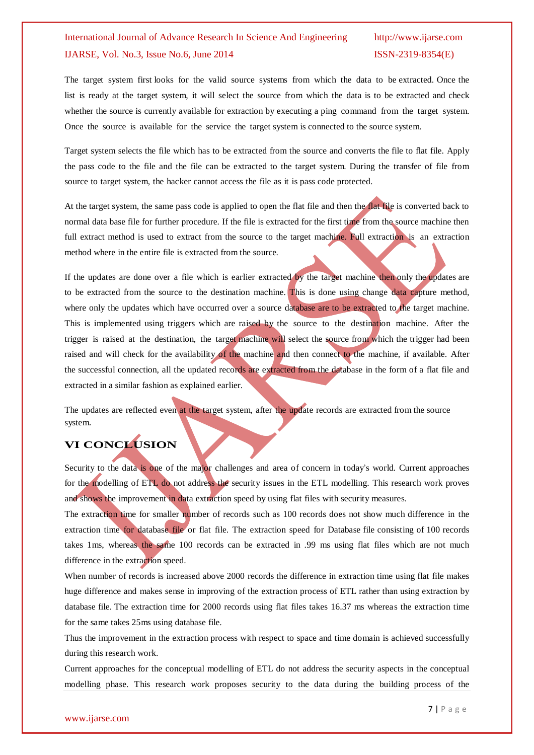The target system first looks for the valid source systems from which the data to be extracted. Once the list is ready at the target system, it will select the source from which the data is to be extracted and check whether the source is currently available for extraction by executing a ping command from the target system. Once the source is available for the service the target system is connected to the source system.

Target system selects the file which has to be extracted from the source and converts the file to flat file. Apply the pass code to the file and the file can be extracted to the target system. During the transfer of file from source to target system, the hacker cannot access the file as it is pass code protected.

At the target system, the same pass code is applied to open the flat file and then the flat file is converted back to normal data base file for further procedure. If the file is extracted for the first time from the source machine then full extract method is used to extract from the source to the target machine. Full extraction is an extraction method where in the entire file is extracted from the source.

If the updates are done over a file which is earlier extracted by the target machine then only the updates are to be extracted from the source to the destination machine. This is done using change data capture method, where only the updates which have occurred over a source database are to be extracted to the target machine. This is implemented using triggers which are raised by the source to the destination machine. After the trigger is raised at the destination, the target machine will select the source from which the trigger had been raised and will check for the availability of the machine and then connect to the machine, if available. After the successful connection, all the updated records are extracted from the database in the form of a flat file and extracted in a similar fashion as explained earlier.

The updates are reflected even at the target system, after the update records are extracted from the source system.

## **VI CONCLUSION**

Security to the data is one of the major challenges and area of concern in today's world. Current approaches for the modelling of ETL do not address the security issues in the ETL modelling. This research work proves and shows the improvement in data extraction speed by using flat files with security measures.

The extraction time for smaller number of records such as 100 records does not show much difference in the extraction time for database file or flat file. The extraction speed for Database file consisting of 100 records takes 1ms, whereas the same 100 records can be extracted in .99 ms using flat files which are not much difference in the extraction speed.

When number of records is increased above 2000 records the difference in extraction time using flat file makes huge difference and makes sense in improving of the extraction process of ETL rather than using extraction by database file. The extraction time for 2000 records using flat files takes 16.37 ms whereas the extraction time for the same takes 25ms using database file.

Thus the improvement in the extraction process with respect to space and time domain is achieved successfully during this research work.

Current approaches for the conceptual modelling of ETL do not address the security aspects in the conceptual modelling phase. This research work proposes security to the data during the building process of the